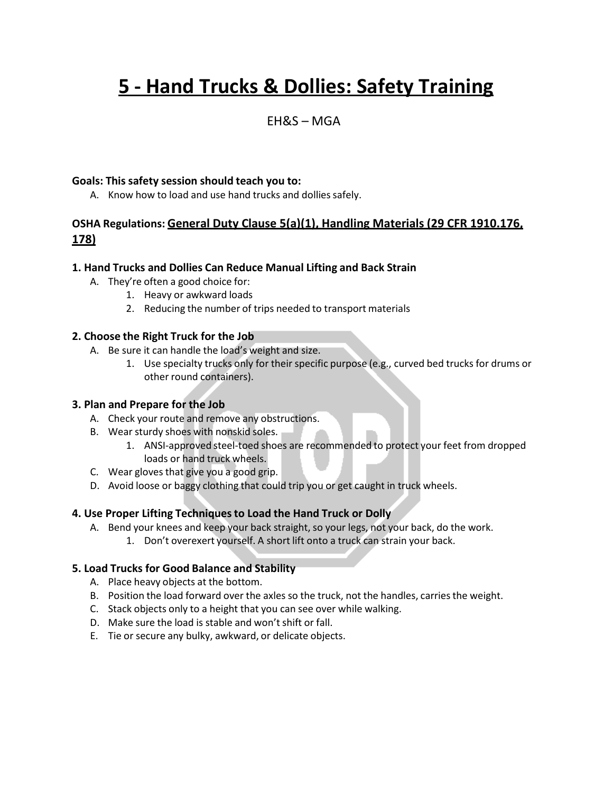# **5 - Hand Trucks & Dollies: Safety Training**

## EH&S – MGA

#### **Goals: This safety session should teach you to:**

A. Know how to load and use hand trucks and dollies safely.

### **OSHA Regulations: General Duty Clause 5(a)(1), Handling Materials (29 CFR 1910.176, 178)**

#### **1. Hand Trucks and Dollies Can Reduce Manual Lifting and Back Strain**

- A. They're often a good choice for:
	- 1. Heavy or awkward loads
	- 2. Reducing the number of trips needed to transport materials

#### **2. Choose the Right Truck for the Job**

- A. Be sure it can handle the load's weight and size.
	- 1. Use specialty trucks only for their specific purpose (e.g., curved bed trucks for drums or other round containers).

#### **3. Plan and Prepare for the Job**

- A. Check your route and remove any obstructions.
- B. Wear sturdy shoes with nonskid soles.
	- 1. ANSI-approved steel-toed shoes are recommended to protect your feet from dropped loads or hand truck wheels.
- C. Wear gloves that give you a good grip.
- D. Avoid loose or baggy clothing that could trip you or get caught in truck wheels.

#### **4. Use Proper Lifting Techniquesto Load the Hand Truck or Dolly**

A. Bend your knees and keep your back straight, so your legs, not your back, do the work. 1. Don't overexert yourself. A short lift onto a truck can strain your back.

#### **5. Load Trucks for Good Balance and Stability**

- A. Place heavy objects at the bottom.
- B. Position the load forward over the axles so the truck, not the handles, carries the weight.
- C. Stack objects only to a height that you can see over while walking.
- D. Make sure the load is stable and won't shift or fall.
- E. Tie or secure any bulky, awkward, or delicate objects.